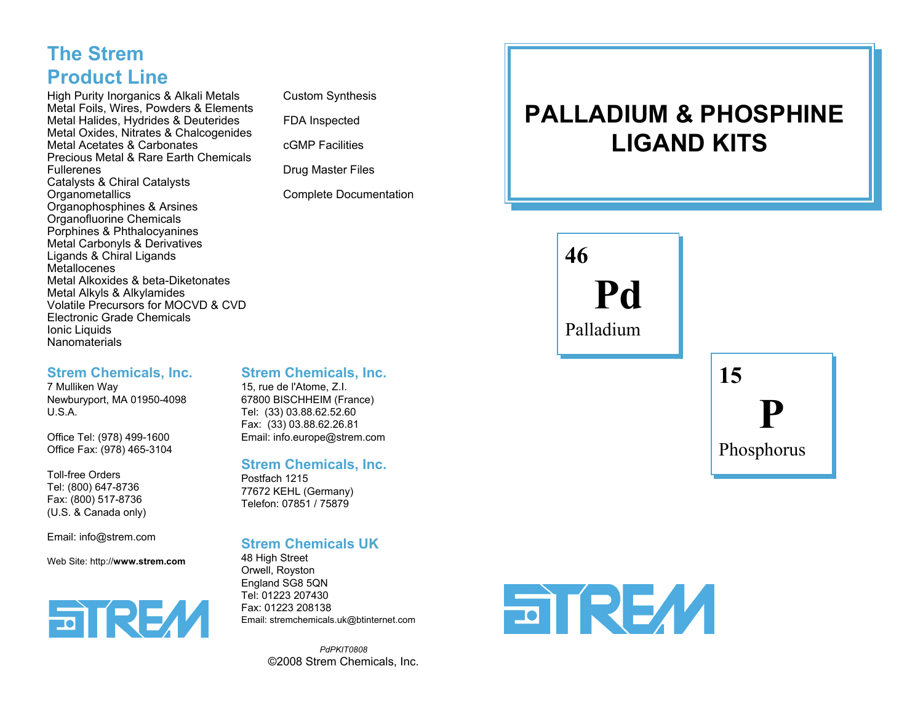## **The StremProduct Line**

High Purity Inorganics & Alkali Metals Custom Synthesis Metal Foils, Wires, Powders & Elements Metal Halides, Hydrides & Deuterides FDA Inspected Metal Oxides, Nitrates & Chalcogenides Metal Acetates & Carbonates **cGMP** Facilities Precious Metal & Rare Earth ChemicalsFullerenes **Drug Master Files** Catalysts & Chiral Catalysts Organophosphines & Arsines Organofluorine Chemicals Porphines & Phthalocyanines Metal Carbonyls & Derivatives Ligands & Chiral Ligands **Metallocenes**  Metal Alkoxides & beta-DiketonatesMetal Alkyls & Alkylamides Volatile Precursors for MOCVD & CVDElectronic Grade ChemicalsIonic Liquids **Nanomaterials** 

Complete Documentation

# **PALLADIUM & PHOSPHINELIGAND KITS**

**46Pd**Palladium

**15P**

Phosphorus

#### **Strem Chemicals, Inc.**

**Strem Chemicals, Inc.** 7 Mulliken Way Newburyport, MA 01950-4098 U.S.A.

Office Tel: (978) 499-1600 Office Fax: (978) 465-3104

Toll-free OrdersTel: (800) 647-8736 Fax: (800) 517-8736 (U.S. & Canada only)

Email: info@strem.com

Web Site: http://**www.strem.com**



### 15, rue de l'Atome, Z.I.

67800 BISCHHEIM (France) Tel: (33) 03.88.62.52.60 Fax: (33) 03.88.62.26.81 Email: info.europe@strem.com

**Strem Chemicals, Inc.**

Postfach 121577672 KEHL (Germany) Telefon: 07851 / 75879

#### **Strem Chemicals UK**

48 High Street Orwell, Royston England SG8 5QN Tel: 01223 207430 Fax: 01223 208138Email: stremchemicals.uk@btinternet.com

> *PdPKIT0808*©2008 Strem Chemicals, Inc.